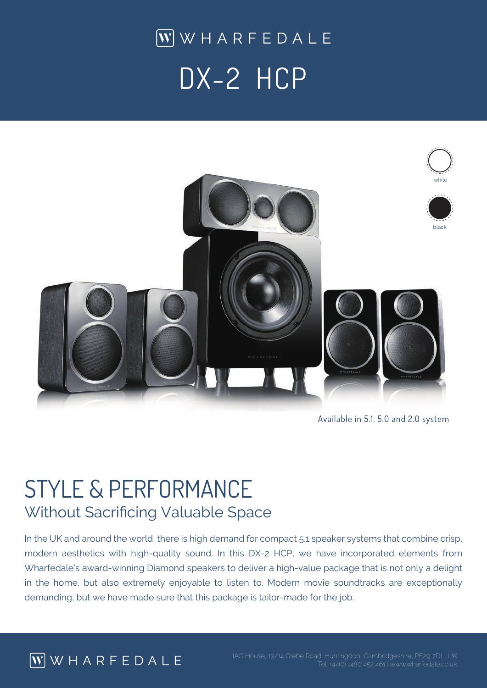$\boxed{\mathbf{W}}$  WHARFEDALE DX-2 HCP



Available in 5.1. 5.0 and 2.0 system

## STYLE & PERFORMANCE Without Sacrificing Valuable Space

In the UK and around the world, there is high demand for compact 5.1 speaker systems that combine crisp, modern aesthetics with high-quality sound. In this DX-2 HCP, we have incorporated elements from Wharfedale's award-winning Diamond speakers to deliver a high-value package that is not only a delight in the home, but also extremely enjoyable to listen to. Modern movie soundtracks are exceptionally demanding, but we have made sure that this package is tailor-made for the job.

## $\overline{W}$  WHARFEDALE